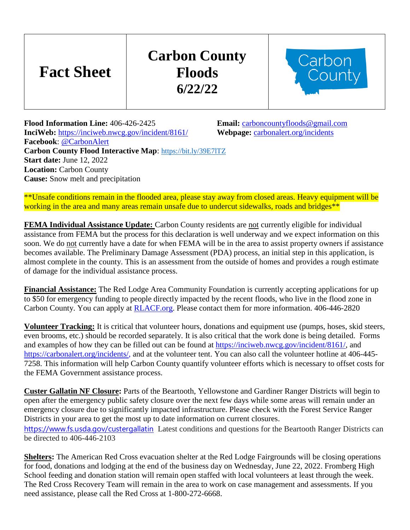## **Carbon County Floods 6/22/22**



**Flood Information Line:** 406-426-2425 **Email:** [carboncountyfloods@gmail.com](mailto:carboncountyfloods@gmail.com) **InciWeb:** <https://inciweb.nwcg.gov/incident/8161/>**Webpage:** [carbonalert.org/incidents](http://www.carbonalert.org/incidents) **Facebook**: [@CarbonAlert](https://www.facebook.com/CarbonAlert/) **Carbon County Flood Interactive Map**: <https://bit.ly/39E7lTZ> **Start date:** June 12, 2022 **Location:** Carbon County **Cause:** Snow melt and precipitation

**Fact Sheet**

\*\*Unsafe conditions remain in the flooded area, please stay away from closed areas. Heavy equipment will be working in the area and many areas remain unsafe due to undercut sidewalks, roads and bridges\*\*

**FEMA Individual Assistance Update:** Carbon County residents are not currently eligible for individual assistance from FEMA but the process for this declaration is well underway and we expect information on this soon. We do not currently have a date for when FEMA will be in the area to assist property owners if assistance becomes available. The Preliminary Damage Assessment (PDA) process, an initial step in this application, is almost complete in the county. This is an assessment from the outside of homes and provides a rough estimate of damage for the individual assistance process.

**Financial Assistance:** The Red Lodge Area Community Foundation is currently accepting applications for up to \$50 for emergency funding to people directly impacted by the recent floods, who live in the flood zone in Carbon County. You can apply at [RLACF.org.](http://www.rlacf.org/) Please contact them for more information. 406-446-2820

**Volunteer Tracking:** It is critical that volunteer hours, donations and equipment use (pumps, hoses, skid steers, even brooms, etc.) should be recorded separately. It is also critical that the work done is being detailed. Forms and examples of how they can be filled out can be found at [https://inciweb.nwcg.gov/incident/8161/,](https://inciweb.nwcg.gov/incident/8161/) and https://carbonalert.org/incidents/, and at the volunteer tent. You can also call the volunteer hotline at 406-445-7258. This information will help Carbon County quantify volunteer efforts which is necessary to offset costs for the FEMA Government assistance process.

**Custer Gallatin NF Closure:** Parts of the Beartooth, Yellowstone and Gardiner Ranger Districts will begin to open after the emergency public safety closure over the next few days while some areas will remain under an emergency closure due to significantly impacted infrastructure. Please check with the Forest Service Ranger Districts in your area to get the most up to date information on current closures. [https://www.fs.usda.gov/custergallatin](https://www.fs.usda.gov/custergallatin?fbclid=IwAR0z4xkV3kobciqBXAGEaVezczgZdWeHD40C1I7HC_IVwdu1-uEZLF_dTgA) Latest conditions and questions for the Beartooth Ranger Districts can be directed to 406-446-2103

**Shelters:** The American Red Cross evacuation shelter at the Red Lodge Fairgrounds will be closing operations for food, donations and lodging at the end of the business day on Wednesday, June 22, 2022. Fromberg High School feeding and donation station will remain open staffed with local volunteers at least through the week. The Red Cross Recovery Team will remain in the area to work on case management and assessments. If you need assistance, please call the Red Cross at 1-800-272-6668.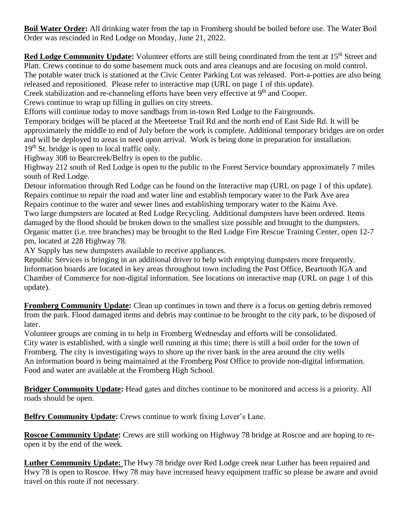**Boil Water Order:** All drinking water from the tap in Fromberg should be boiled before use. The Water Boil Order was rescinded in Red Lodge on Monday, June 21, 2022.

**Red Lodge Community Update:** Volunteer efforts are still being coordinated from the tent at 15<sup>th</sup> Street and Platt. Crews continue to do some basement muck outs and area cleanups and are focusing on mold control. The potable water truck is stationed at the Civic Center Parking Lot was released. Port-a-potties are also being released and repositioned. Please refer to interactive map (URL on page 1 of this update).

Creek stabilization and re-channeling efforts have been very effective at 9<sup>th</sup> and Cooper.

Crews continue to wrap up filling in gullies on city streets.

Efforts will continue today to move sandbags from in-town Red Lodge to the Fairgrounds.

Temporary bridges will be placed at the Meeteetse Trail Rd and the north end of East Side Rd. It will be approximately the middle to end of July before the work is complete. Additional temporary bridges are on order and will be deployed to areas in need upon arrival. Work is being done in preparation for installation. 19<sup>th</sup> St. bridge is open to local traffic only.

Highway 308 to Bearcreek/Belfry is open to the public.

Highway 212 south of Red Lodge is open to the public to the Forest Service boundary approximately 7 miles south of Red Lodge.

Detour information through Red Lodge can be found on the Interactive map (URL on page 1 of this update). Repairs continue to repair the road and water line and establish temporary water to the Park Ave area Repairs continue to the water and sewer lines and establishing temporary water to the Kainu Ave. Two large dumpsters are located at Red Lodge Recycling. Additional dumpsters have been ordered. Items damaged by the flood should be broken down to the smallest size possible and brought to the dumpsters. Organic matter (i.e. tree branches) may be brought to the Red Lodge Fire Rescue Training Center, open 12-7 pm, located at 228 Highway 78.

AY Supply has new dumpsters available to receive appliances.

Republic Services is bringing in an additional driver to help with emptying dumpsters more frequently. Information boards are located in key areas throughout town including the Post Office, Beartooth IGA and Chamber of Commerce for non-digital information. See locations on interactive map (URL on page 1 of this update).

**Fromberg Community Update:** Clean up continues in town and there is a focus on getting debris removed from the park. Flood damaged items and debris may continue to be brought to the city park, to be disposed of later.

Volunteer groups are coming in to help in Fromberg Wednesday and efforts will be consolidated. City water is established, with a single well running at this time; there is still a boil order for the town of Fromberg. The city is investigating ways to shore up the river bank in the area around the city wells An information board is being maintained at the Fromberg Post Office to provide non-digital information. Food and water are available at the Fromberg High School.

**Bridger Community Update:** Head gates and ditches continue to be monitored and access is a priority. All roads should be open.

**Belfry Community Update:** Crews continue to work fixing Lover's Lane.

**Roscoe Community Update:** Crews are still working on Highway 78 bridge at Roscoe and are hoping to reopen it by the end of the week.

**Luther Community Update:** The Hwy 78 bridge over Red Lodge creek near Luther has been repaired and Hwy 78 is open to Roscoe. Hwy 78 may have increased heavy equipment traffic so please be aware and avoid travel on this route if not necessary.